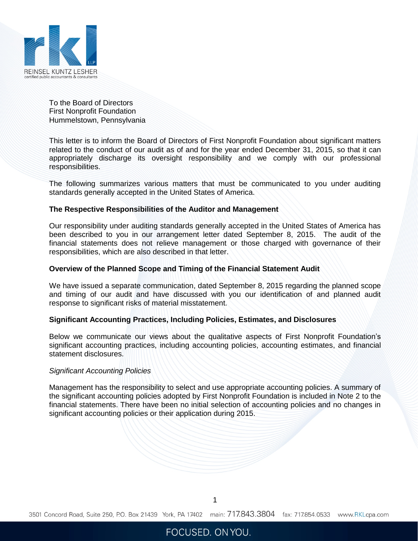

To the Board of Directors First Nonprofit Foundation Hummelstown, Pennsylvania

This letter is to inform the Board of Directors of First Nonprofit Foundation about significant matters related to the conduct of our audit as of and for the year ended December 31, 2015, so that it can appropriately discharge its oversight responsibility and we comply with our professional responsibilities.

The following summarizes various matters that must be communicated to you under auditing standards generally accepted in the United States of America.

#### **The Respective Responsibilities of the Auditor and Management**

Our responsibility under auditing standards generally accepted in the United States of America has been described to you in our arrangement letter dated September 8, 2015. The audit of the financial statements does not relieve management or those charged with governance of their responsibilities, which are also described in that letter.

#### **Overview of the Planned Scope and Timing of the Financial Statement Audit**

We have issued a separate communication, dated September 8, 2015 regarding the planned scope and timing of our audit and have discussed with you our identification of and planned audit response to significant risks of material misstatement.

### **Significant Accounting Practices, Including Policies, Estimates, and Disclosures**

Below we communicate our views about the qualitative aspects of First Nonprofit Foundation's significant accounting practices, including accounting policies, accounting estimates, and financial statement disclosures.

#### *Significant Accounting Policies*

Management has the responsibility to select and use appropriate accounting policies. A summary of the significant accounting policies adopted by First Nonprofit Foundation is included in Note 2 to the financial statements. There have been no initial selection of accounting policies and no changes in significant accounting policies or their application during 2015.

1

3501 Concord Road, Suite 250, P.O. Box 21439 York, PA 17402 main: 717.843.3804 fax: 717.854.0533 www.RKLcpa.com

# FOCUSED. ON YOU.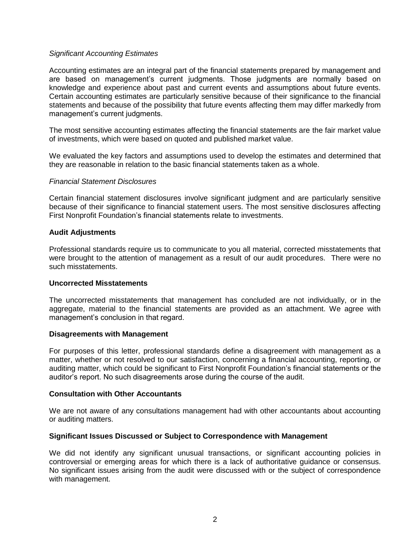## *Significant Accounting Estimates*

Accounting estimates are an integral part of the financial statements prepared by management and are based on management's current judgments. Those judgments are normally based on knowledge and experience about past and current events and assumptions about future events. Certain accounting estimates are particularly sensitive because of their significance to the financial statements and because of the possibility that future events affecting them may differ markedly from management's current judgments.

The most sensitive accounting estimates affecting the financial statements are the fair market value of investments, which were based on quoted and published market value.

We evaluated the key factors and assumptions used to develop the estimates and determined that they are reasonable in relation to the basic financial statements taken as a whole.

### *Financial Statement Disclosures*

Certain financial statement disclosures involve significant judgment and are particularly sensitive because of their significance to financial statement users. The most sensitive disclosures affecting First Nonprofit Foundation's financial statements relate to investments.

### **Audit Adjustments**

Professional standards require us to communicate to you all material, corrected misstatements that were brought to the attention of management as a result of our audit procedures. There were no such misstatements.

### **Uncorrected Misstatements**

The uncorrected misstatements that management has concluded are not individually, or in the aggregate, material to the financial statements are provided as an attachment. We agree with management's conclusion in that regard.

### **Disagreements with Management**

For purposes of this letter, professional standards define a disagreement with management as a matter, whether or not resolved to our satisfaction, concerning a financial accounting, reporting, or auditing matter, which could be significant to First Nonprofit Foundation's financial statements or the auditor's report. No such disagreements arose during the course of the audit.

### **Consultation with Other Accountants**

We are not aware of any consultations management had with other accountants about accounting or auditing matters.

### **Significant Issues Discussed or Subject to Correspondence with Management**

We did not identify any significant unusual transactions, or significant accounting policies in controversial or emerging areas for which there is a lack of authoritative guidance or consensus. No significant issues arising from the audit were discussed with or the subject of correspondence with management.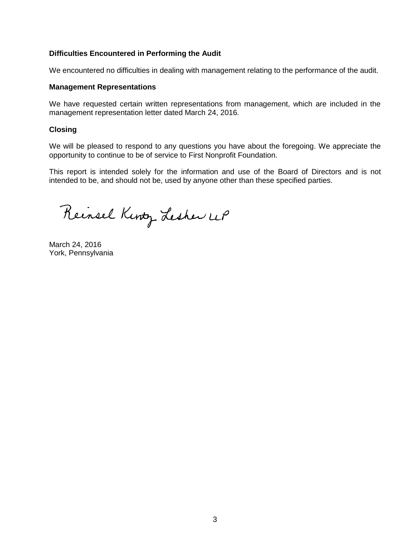# **Difficulties Encountered in Performing the Audit**

We encountered no difficulties in dealing with management relating to the performance of the audit.

### **Management Representations**

We have requested certain written representations from management, which are included in the management representation letter dated March 24, 2016.

## **Closing**

We will be pleased to respond to any questions you have about the foregoing. We appreciate the opportunity to continue to be of service to First Nonprofit Foundation.

This report is intended solely for the information and use of the Board of Directors and is not intended to be, and should not be, used by anyone other than these specified parties.

Reinsel Kinty Lesher UP

March 24, 2016 York, Pennsylvania